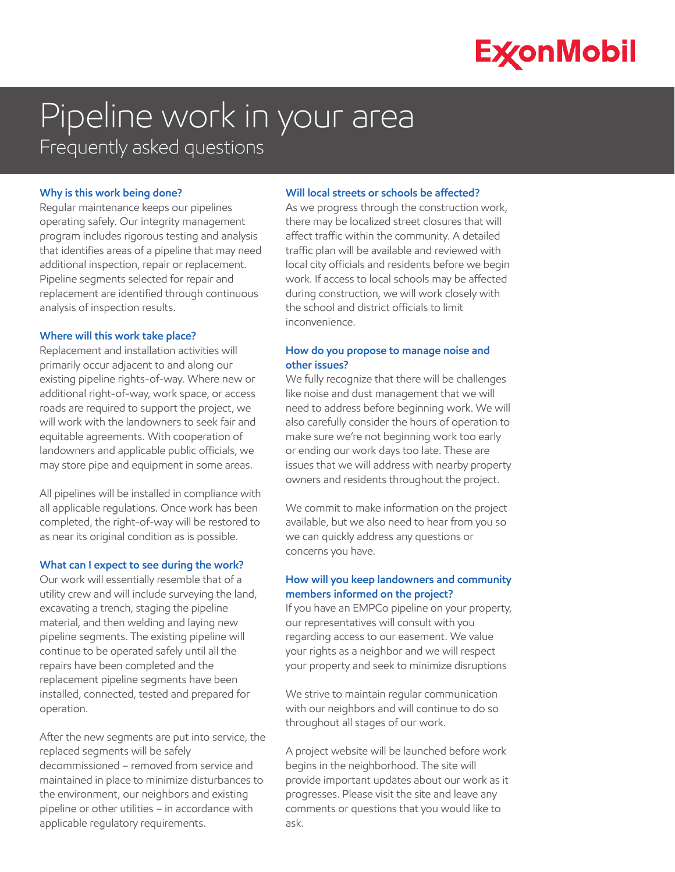# **ExconMobil**

# Pipeline work in your area Frequently asked questions

## **Why is this work being done?**

Regular maintenance keeps our pipelines operating safely. Our integrity management program includes rigorous testing and analysis that identifies areas of a pipeline that may need additional inspection, repair or replacement. Pipeline segments selected for repair and replacement are identified through continuous analysis of inspection results.

#### **Where will this work take place?**

Replacement and installation activities will primarily occur adjacent to and along our existing pipeline rights-of-way. Where new or additional right-of-way, work space, or access roads are required to support the project, we will work with the landowners to seek fair and equitable agreements. With cooperation of landowners and applicable public officials, we may store pipe and equipment in some areas.

All pipelines will be installed in compliance with all applicable regulations. Once work has been completed, the right-of-way will be restored to as near its original condition as is possible.

## **What can I expect to see during the work?**

Our work will essentially resemble that of a utility crew and will include surveying the land, excavating a trench, staging the pipeline material, and then welding and laying new pipeline segments. The existing pipeline will continue to be operated safely until all the repairs have been completed and the replacement pipeline segments have been installed, connected, tested and prepared for operation.

After the new segments are put into service, the replaced segments will be safely decommissioned – removed from service and maintained in place to minimize disturbances to the environment, our neighbors and existing pipeline or other utilities – in accordance with applicable regulatory requirements.

#### **Will local streets or schools be affected?**

As we progress through the construction work, there may be localized street closures that will affect traffic within the community. A detailed traffic plan will be available and reviewed with local city officials and residents before we begin work. If access to local schools may be affected during construction, we will work closely with the school and district officials to limit inconvenience.

# **How do you propose to manage noise and other issues?**

We fully recognize that there will be challenges like noise and dust management that we will need to address before beginning work. We will also carefully consider the hours of operation to make sure we're not beginning work too early or ending our work days too late. These are issues that we will address with nearby property owners and residents throughout the project.

We commit to make information on the project available, but we also need to hear from you so we can quickly address any questions or concerns you have.

# **How will you keep landowners and community members informed on the project?**

If you have an EMPCo pipeline on your property, our representatives will consult with you regarding access to our easement. We value your rights as a neighbor and we will respect your property and seek to minimize disruptions

We strive to maintain regular communication with our neighbors and will continue to do so throughout all stages of our work.

A project website will be launched before work begins in the neighborhood. The site will provide important updates about our work as it progresses. Please visit the site and leave any comments or questions that you would like to ask.